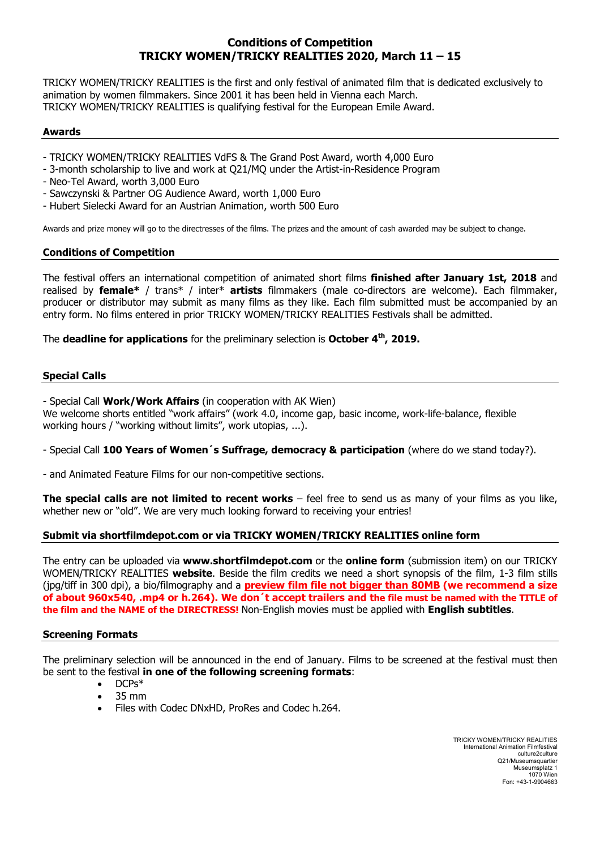# **Conditions of Competition TRICKY WOMEN/TRICKY REALITIES 2020, March 11 – 15**

TRICKY WOMEN/TRICKY REALITIES is the first and only festival of animated film that is dedicated exclusively to animation by women filmmakers. Since 2001 it has been held in Vienna each March. TRICKY WOMEN/TRICKY REALITIES is qualifying festival for the European Emile Award.

#### **Awards**

- TRICKY WOMEN/TRICKY REALITIES VdFS & The Grand Post Award, worth 4,000 Euro
- 3-month scholarship to live and work at Q21/MQ under the Artist-in-Residence Program
- Neo-Tel Award, worth 3,000 Euro
- Sawczynski & Partner OG Audience Award, worth 1,000 Euro
- Hubert Sielecki Award for an Austrian Animation, worth 500 Euro

Awards and prize money will go to the directresses of the films. The prizes and the amount of cash awarded may be subject to change.

#### **Conditions of Competition**

The festival offers an international competition of animated short films **finished after January 1st, 2018** and realised by **female\*** / trans\* / inter\* **artists** filmmakers (male co-directors are welcome). Each filmmaker, producer or distributor may submit as many films as they like. Each film submitted must be accompanied by an entry form. No films entered in prior TRICKY WOMEN/TRICKY REALITIES Festivals shall be admitted.

The **deadline for applications** for the preliminary selection is **October 4th, 2019.** 

### **Special Calls**

- Special Call **Work/Work Affairs** (in cooperation with AK Wien)

We welcome shorts entitled "work affairs" (work 4.0, income gap, basic income, work-life-balance, flexible working hours / "working without limits", work utopias, ...).

- Special Call **100 Years of Women´s Suffrage, democracy & participation** (where do we stand today?).

- and Animated Feature Films for our non-competitive sections.

**The special calls are not limited to recent works** – feel free to send us as many of your films as you like, whether new or "old". We are very much looking forward to receiving your entries!

#### **Submit via shortfilmdepot.com or via TRICKY WOMEN/TRICKY REALITIES online form**

The entry can be uploaded via **www.shortfilmdepot.com** or the **online form** (submission item) on our TRICKY WOMEN/TRICKY REALITIES **website**. Beside the film credits we need a short synopsis of the film, 1-3 film stills (jpg/tiff in 300 dpi), a bio/filmography and a **preview film file not bigger than 80MB (we recommend a size of about 960x540, .mp4 or h.264). We don´t accept trailers and the file must be named with the TITLE of the film and the NAME of the DIRECTRESS!** Non-English movies must be applied with **English subtitles**.

#### **Screening Formats**

The preliminary selection will be announced in the end of January. Films to be screened at the festival must then be sent to the festival **in one of the following screening formats**:

- DCPs\*
- 35 mm
- Files with Codec DNxHD, ProRes and Codec h.264.